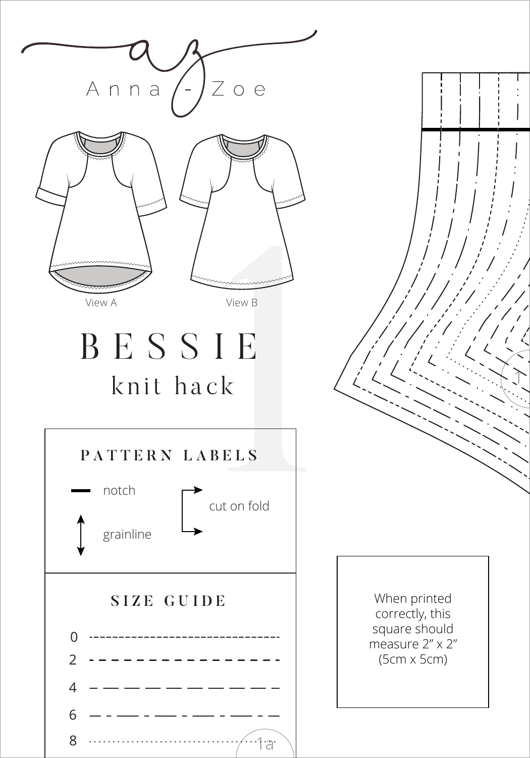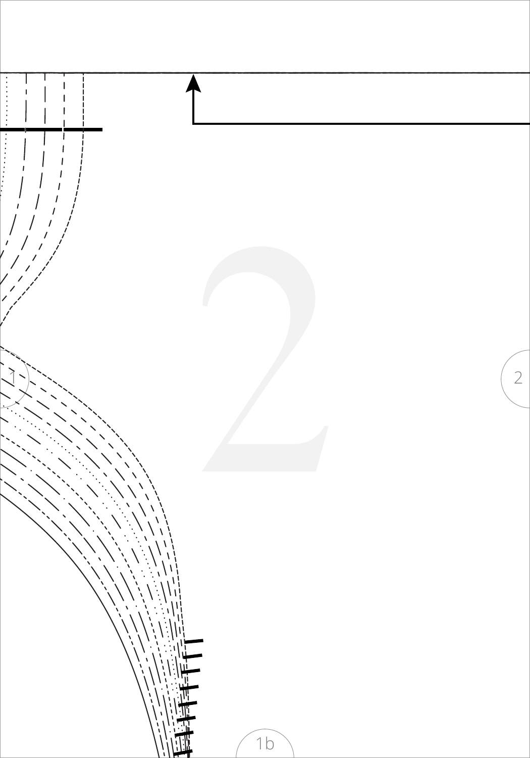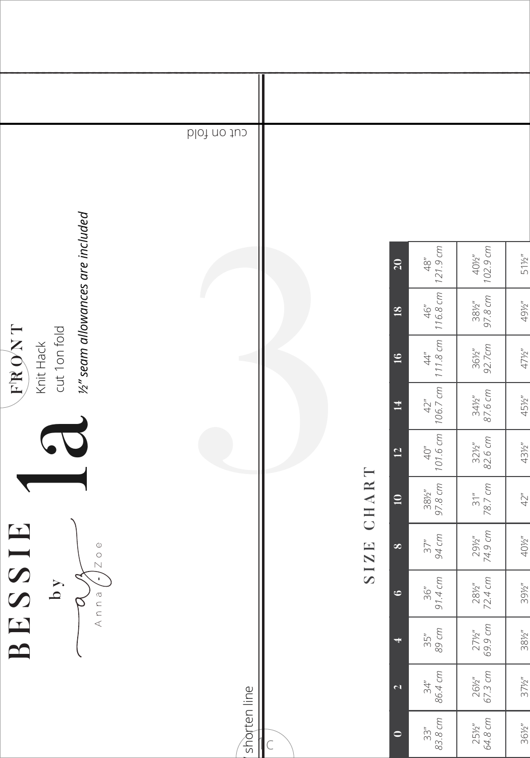|                                     | cut on fold  |           |       |                          |                          |                             |                 |
|-------------------------------------|--------------|-----------|-------|--------------------------|--------------------------|-----------------------------|-----------------|
| 1/2" seam allowances are included   |              |           |       | 20                       | $48^{\circ}$<br>121.9 cm | 102.9 cm<br>$40\frac{M}{2}$ | 511/2"          |
|                                     |              |           |       | $\overline{18}$          | $46"$<br>116.8 cm        | 381/2"<br>97.8 cm           | 491/2"          |
| TRONT<br>cut 1 on fold<br>Knit Hack |              |           |       | 16                       | 111.8 cm<br>$44^{\circ}$ | 361/2"<br>92.7cm            | 471/2"          |
|                                     |              |           |       | $\overline{14}$          | $42^{\circ}$<br>106.7 cm | $34\frac{1}{2}$<br>87.6 cm  | 45½"            |
|                                     |              |           |       | $\overline{5}$           | 101.6 cm<br>40''         | $32\frac{1}{2}$<br>82.6 cm  | 43½"            |
| $\Delta$                            |              |           | CHART | $\overline{10}$          | 381/2"<br>97.8 cm        | 78.7 cm<br>31 <sup>u</sup>  | 42"             |
| BESSIE<br> z                        |              |           | SIZE  | $\infty$                 | 94 cm<br>37''            | 74.9 ст<br>291/2"           | 401/2"          |
| J.<br>$\mathbf{A}$<br>Anna          |              |           |       | $\ddot{\circ}$           | 91.4 cm<br>36''          | 281/2"<br>72.4 cm           | 39½"            |
|                                     |              |           |       | $\overline{\phantom{a}}$ | 89 cm<br>35"             | 69.9 cm<br>$27\frac{1}{2}$  | $38\frac{1}{2}$ |
|                                     |              |           |       | $\overline{\mathbf{c}}$  | 86.4 cm<br>34''          | 67.3 cm<br>26½"             | $37\frac{1}{2}$ |
|                                     | shorten line | $\subset$ |       | $\bullet$                | 83.8 cm<br>33''          | 64.8 cm<br>25½"             | $36\frac{1}{2}$ |
|                                     |              |           |       |                          |                          |                             |                 |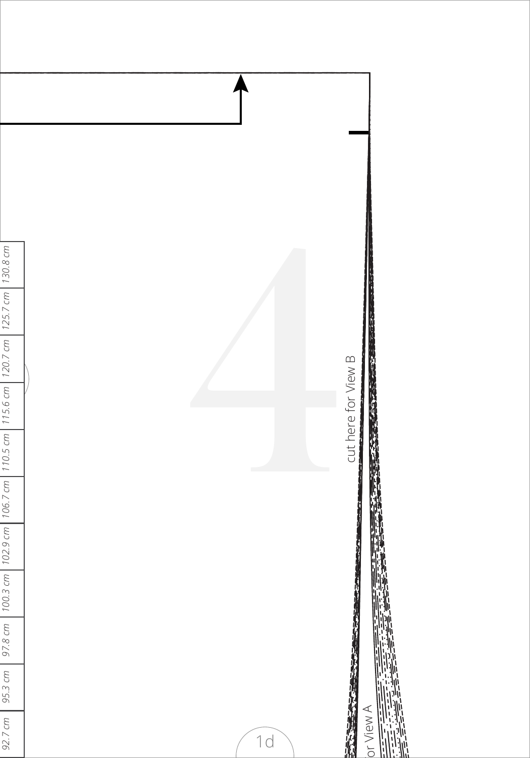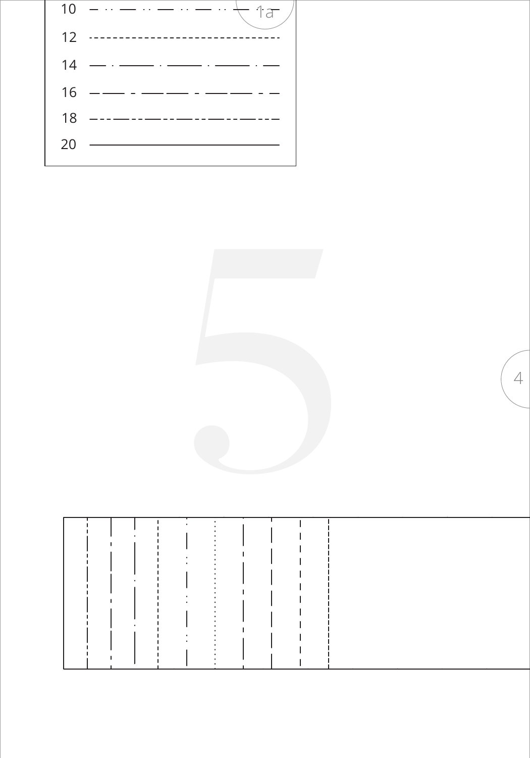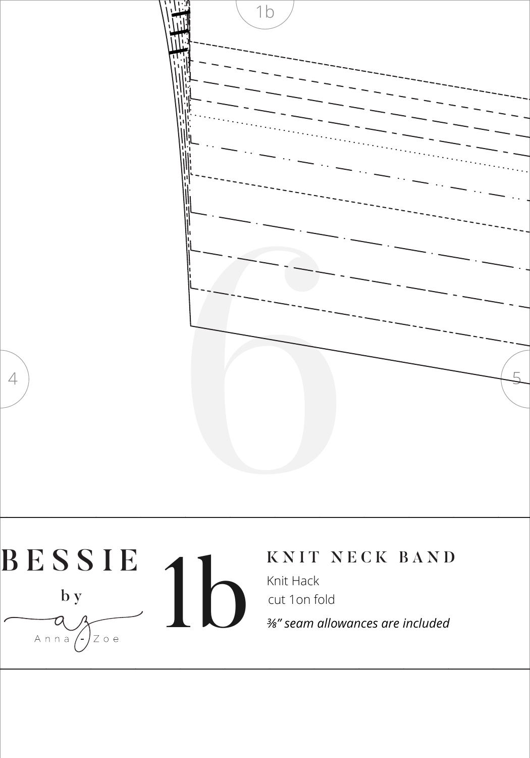

## BESSIE Knit Hack  $\mathbf b$  y Anna $\left\langle \cdot\right\rangle$  $Z$  o e

## KNIT NECK BAND

cut 1on fold

3/8" seam allowances are included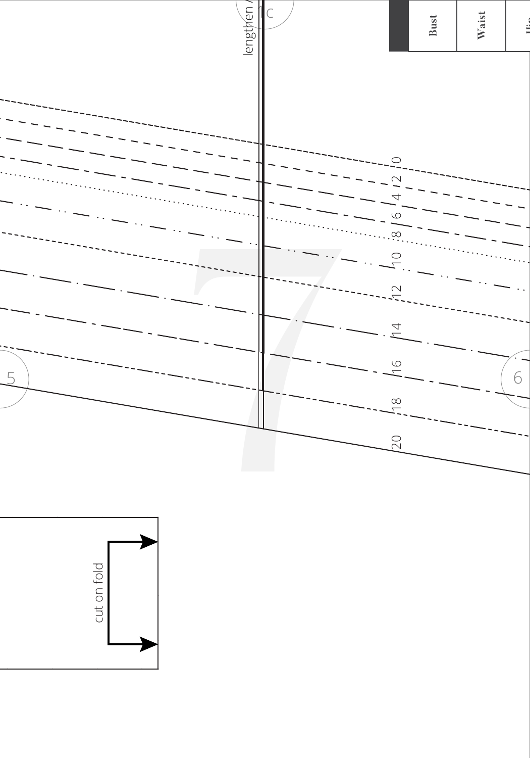